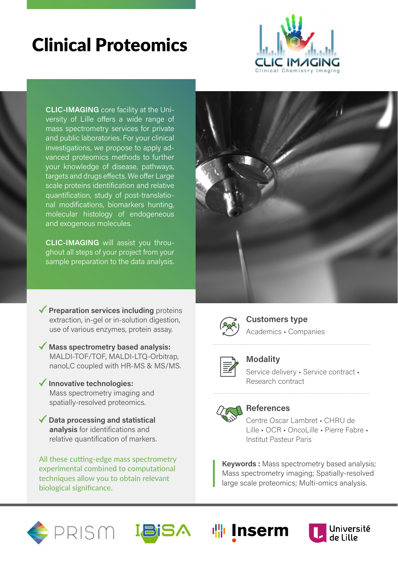## Clinical Proteomics



**CLIC-IMAGING** core facility at the University of Lille offers a wide range of mass spectrometry services for private and public laboratories. For your clinical investigations, we propose to apply advanced proteomics methods to further your knowledge of disease, pathways, targets and drugs effects. We offer Large scale proteins identification and relative quantification, study of post-translational modifications, biomarkers hunting, molecular histology of endogeneous and exogenous molecules.

**CLIC-IMAGING** will assist you throughout all steps of your project from your sample preparation to the data analysis.

- ◆ **Preparation services including** proteins extraction, in-gel or in-solution digestion. use of various enzymes, protein assay.
- **Mass spectrometry based analysis:** MALDI-TOF/TOF, MALDI-LTQ-Orbitrap, nanoLC coupled with HR-MS & MS/MS.
- **Innovative technologies:**  Mass spectrometry imaging and spatially-resolved proteomics.
- **Data processing and statistical analysis** for identifications and relative quantification of markers.

All these cutting-edge mass spectrometry experimental combined to computational techniques allow you to obtain relevant biological significance.





### **Customers type** Academics • Companies



### **Modality**

Service delivery • Service contract • Research contract



### **References**

Centre Oscar Lambret • CHRU de Lille • OCR • OncoLille • Pierre Fabre • Institut Pasteur Paris

**Keywords :** Mass spectrometry based analysis; Mass spectrometry imaging; Spatially-resolved large scale proteomics; Multi-omics analysis.

> Université de Lille